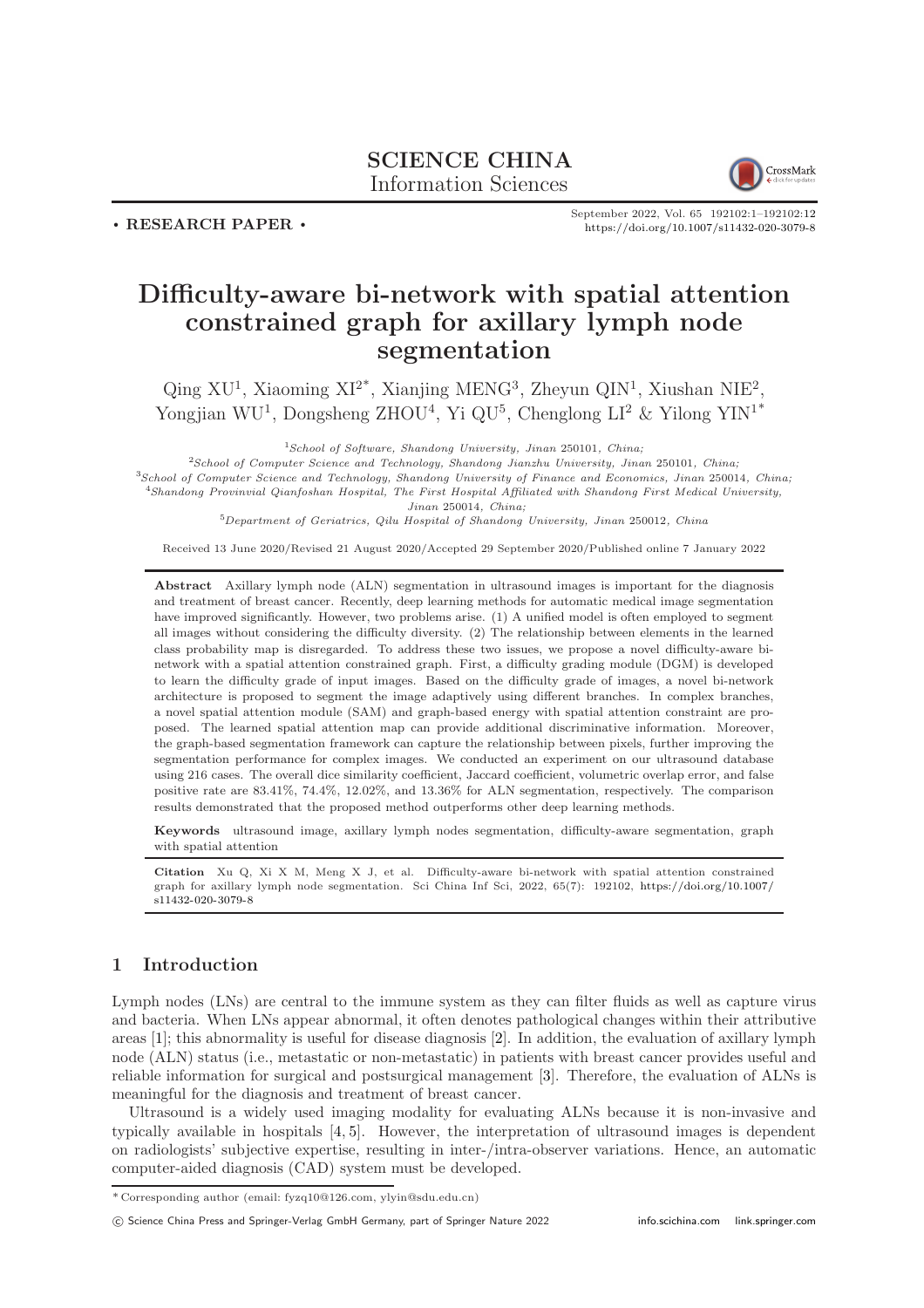## SCIENCE CHINA Information Sciences



 $\cdot$  RESEARCH PAPER  $\cdot$ 

September 2022, Vol. 65 192102:1–192102[:12](#page-11-0) <https://doi.org/10.1007/s11432-020-3079-8>

# Difficulty-aware bi-network with spatial attention constrained graph for axillary lymph node segmentation

 $\text{Qing XU}^1$ , Xiaoming XI<sup>2\*</sup>, Xianjing MENG<sup>3</sup>, Zheyun QIN<sup>1</sup>, Xiushan NIE<sup>2</sup>, Yongjian WU<sup>1</sup>, Dongsheng ZHOU<sup>4</sup>, Yi QU<sup>5</sup>, Chenglong LI<sup>2</sup> & Yilong YIN<sup>1\*</sup>

 $1$ School of Software, Shandong University, Jinan 250101, China;

School of Computer Science and Technology, Shandong Jianzhu University, Jinan 250101, China; School of Computer Science and Technology, Shandong University of Finance and Economics, Jinan 250014, China; Shandong Provinvial Qianfoshan Hospital, The First Hospital Affiliated with Shandong First Medical University, Jinan 250014, China;

<sup>5</sup>Department of Geriatrics, Qilu Hospital of Shandong University, Jinan 250012, China

Received 13 June 2020/Revised 21 August 2020/Accepted 29 September 2020/Published online 7 January 2022

Abstract Axillary lymph node (ALN) segmentation in ultrasound images is important for the diagnosis and treatment of breast cancer. Recently, deep learning methods for automatic medical image segmentation have improved significantly. However, two problems arise. (1) A unified model is often employed to segment all images without considering the difficulty diversity. (2) The relationship between elements in the learned class probability map is disregarded. To address these two issues, we propose a novel difficulty-aware binetwork with a spatial attention constrained graph. First, a difficulty grading module (DGM) is developed to learn the difficulty grade of input images. Based on the difficulty grade of images, a novel bi-network architecture is proposed to segment the image adaptively using different branches. In complex branches, a novel spatial attention module (SAM) and graph-based energy with spatial attention constraint are proposed. The learned spatial attention map can provide additional discriminative information. Moreover, the graph-based segmentation framework can capture the relationship between pixels, further improving the segmentation performance for complex images. We conducted an experiment on our ultrasound database using 216 cases. The overall dice similarity coefficient, Jaccard coefficient, volumetric overlap error, and false positive rate are 83.41%, 74.4%, 12.02%, and 13.36% for ALN segmentation, respectively. The comparison results demonstrated that the proposed method outperforms other deep learning methods.

Keywords ultrasound image, axillary lymph nodes segmentation, difficulty-aware segmentation, graph with spatial attention

Citation Xu Q, Xi X M, Meng X J, et al. Difficulty-aware bi-network with spatial attention constrained graph for axillary lymph node segmentation. Sci China Inf Sci, 2022, 65(7): 192102, [https://doi.org/10.1007/](https://doi.org/10.1007/s11432-020-3079-8) [s11432-020-3079-8](https://doi.org/10.1007/s11432-020-3079-8)

### 1 Introduction

Lymph nodes (LNs) are central to the immune system as they can filter fluids as well as capture virus and bacteria. When LNs appear abnormal, it often denotes pathological changes within their attributive areas [\[1\]](#page-10-0); this abnormality is useful for disease diagnosis [\[2\]](#page-10-1). In addition, the evaluation of axillary lymph node (ALN) status (i.e., metastatic or non-metastatic) in patients with breast cancer provides useful and reliable information for surgical and postsurgical management [\[3\]](#page-10-2). Therefore, the evaluation of ALNs is meaningful for the diagnosis and treatment of breast cancer.

Ultrasound is a widely used imaging modality for evaluating ALNs because it is non-invasive and typically available in hospitals [\[4,](#page-10-3) [5\]](#page-10-4). However, the interpretation of ultrasound images is dependent on radiologists' subjective expertise, resulting in inter-/intra-observer variations. Hence, an automatic computer-aided diagnosis (CAD) system must be developed.

c Science China Press and Springer-Verlag GmbH Germany, part of Springer Nature 2022 <info.scichina.com><link.springer.com>

<sup>\*</sup> Corresponding author (email: fyzq10@126.com, ylyin@sdu.edu.cn)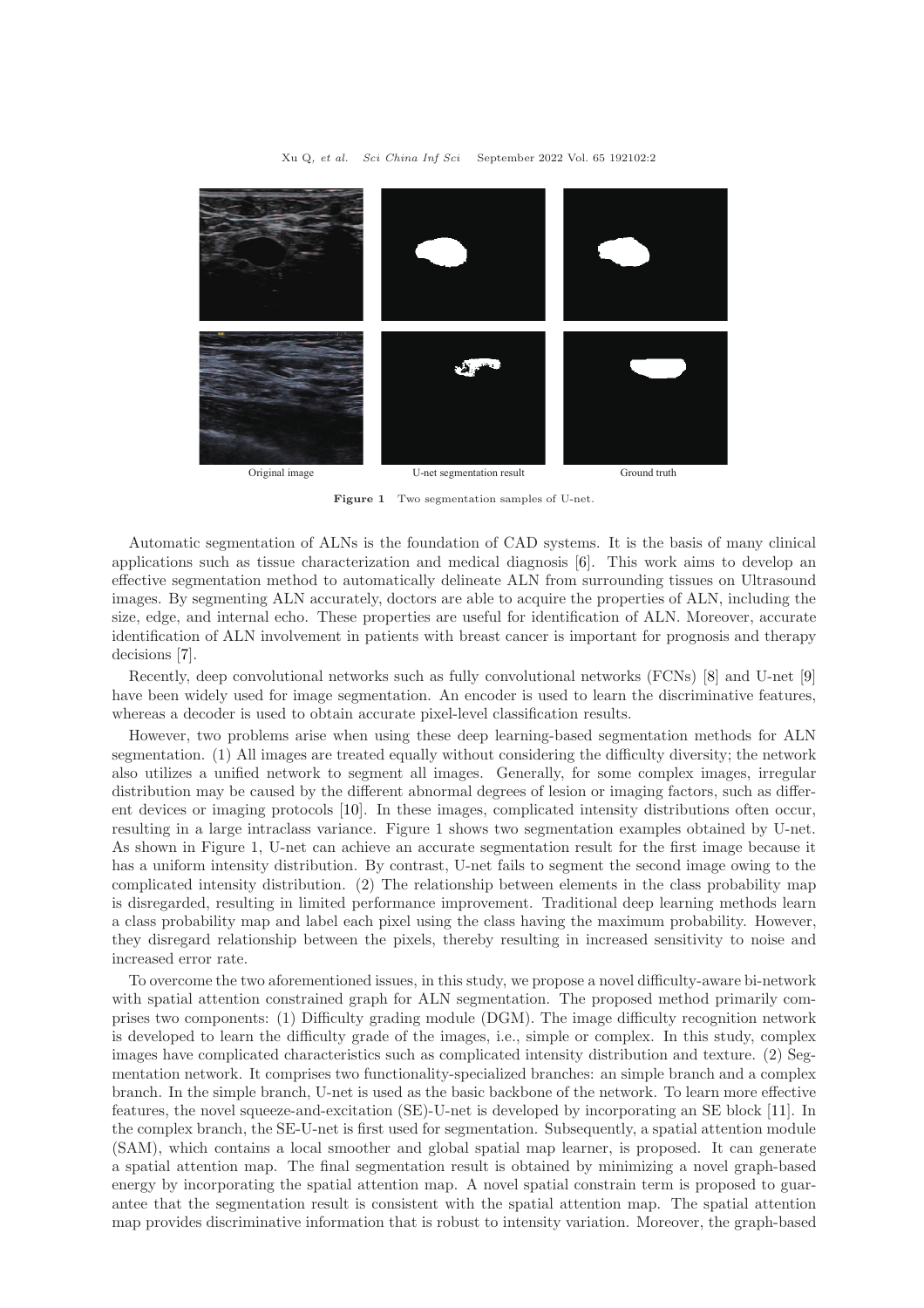

Figure 1 Two segmentation samples of U-net.

Automatic segmentation of ALNs is the foundation of CAD systems. It is the basis of many clinical applications such as tissue characterization and medical diagnosis [\[6\]](#page-10-5). This work aims to develop an effective segmentation method to automatically delineate ALN from surrounding tissues on Ultrasound images. By segmenting ALN accurately, doctors are able to acquire the properties of ALN, including the size, edge, and internal echo. These properties are useful for identification of ALN. Moreover, accurate identification of ALN involvement in patients with breast cancer is important for prognosis and therapy decisions [\[7\]](#page-10-6).

Recently, deep convolutional networks such as fully convolutional networks (FCNs) [\[8\]](#page-10-7) and U-net [\[9\]](#page-10-8) have been widely used for image segmentation. An encoder is used to learn the discriminative features, whereas a decoder is used to obtain accurate pixel-level classification results.

However, two problems arise when using these deep learning-based segmentation methods for ALN segmentation. (1) All images are treated equally without considering the difficulty diversity; the network also utilizes a unified network to segment all images. Generally, for some complex images, irregular distribution may be caused by the different abnormal degrees of lesion or imaging factors, such as different devices or imaging protocols [\[10\]](#page-10-9). In these images, complicated intensity distributions often occur, resulting in a large intraclass variance. Figure 1 shows two segmentation examples obtained by U-net. As shown in Figure 1, U-net can achieve an accurate segmentation result for the first image because it has a uniform intensity distribution. By contrast, U-net fails to segment the second image owing to the complicated intensity distribution. (2) The relationship between elements in the class probability map is disregarded, resulting in limited performance improvement. Traditional deep learning methods learn a class probability map and label each pixel using the class having the maximum probability. However, they disregard relationship between the pixels, thereby resulting in increased sensitivity to noise and increased error rate.

To overcome the two aforementioned issues, in this study, we propose a novel difficulty-aware bi-network with spatial attention constrained graph for ALN segmentation. The proposed method primarily comprises two components: (1) Difficulty grading module (DGM). The image difficulty recognition network is developed to learn the difficulty grade of the images, i.e., simple or complex. In this study, complex images have complicated characteristics such as complicated intensity distribution and texture. (2) Segmentation network. It comprises two functionality-specialized branches: an simple branch and a complex branch. In the simple branch, U-net is used as the basic backbone of the network. To learn more effective features, the novel squeeze-and-excitation (SE)-U-net is developed by incorporating an SE block [\[11\]](#page-10-10). In the complex branch, the SE-U-net is first used for segmentation. Subsequently, a spatial attention module (SAM), which contains a local smoother and global spatial map learner, is proposed. It can generate a spatial attention map. The final segmentation result is obtained by minimizing a novel graph-based energy by incorporating the spatial attention map. A novel spatial constrain term is proposed to guarantee that the segmentation result is consistent with the spatial attention map. The spatial attention map provides discriminative information that is robust to intensity variation. Moreover, the graph-based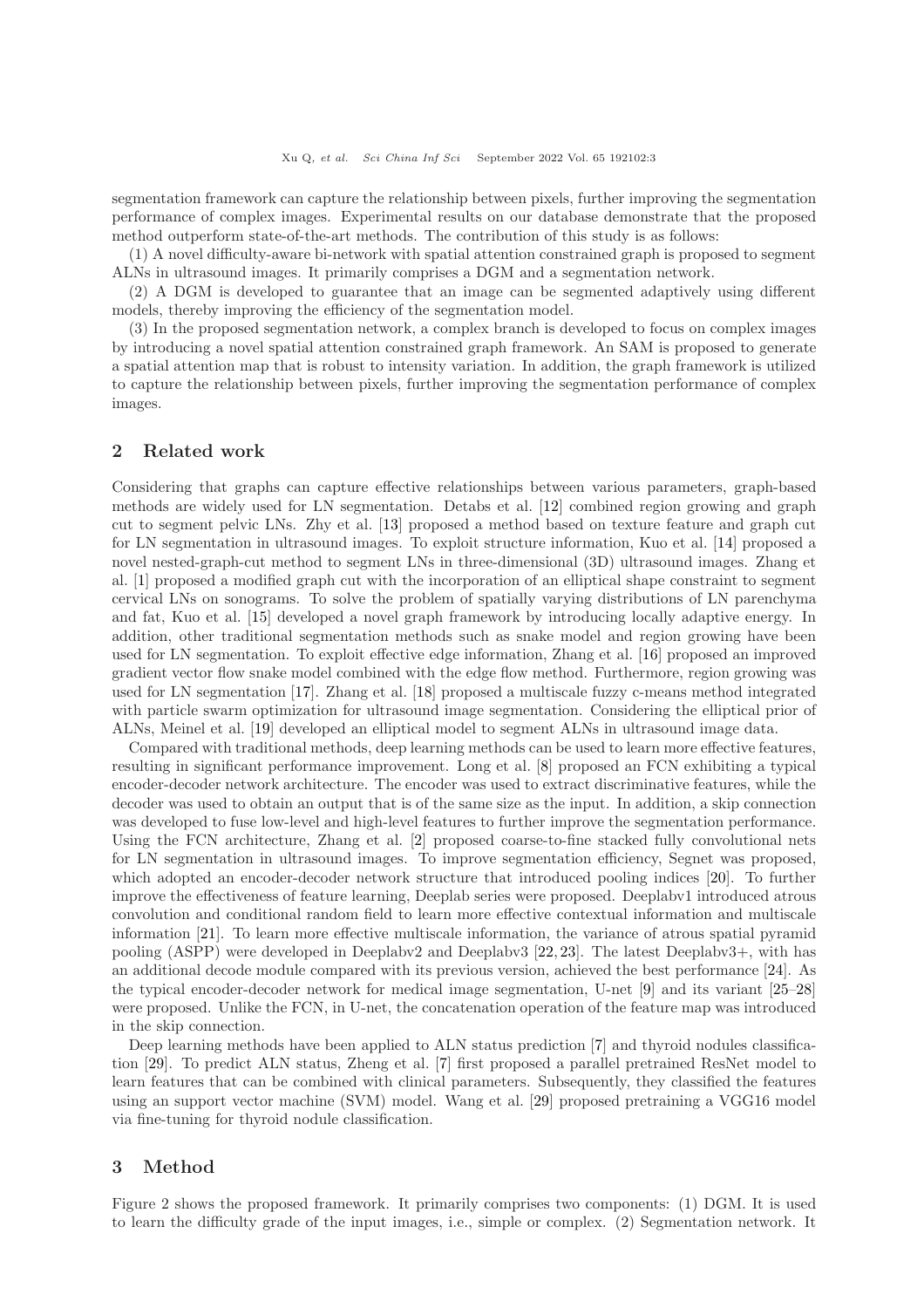segmentation framework can capture the relationship between pixels, further improving the segmentation performance of complex images. Experimental results on our database demonstrate that the proposed method outperform state-of-the-art methods. The contribution of this study is as follows:

(1) A novel difficulty-aware bi-network with spatial attention constrained graph is proposed to segment ALNs in ultrasound images. It primarily comprises a DGM and a segmentation network.

(2) A DGM is developed to guarantee that an image can be segmented adaptively using different models, thereby improving the efficiency of the segmentation model.

(3) In the proposed segmentation network, a complex branch is developed to focus on complex images by introducing a novel spatial attention constrained graph framework. An SAM is proposed to generate a spatial attention map that is robust to intensity variation. In addition, the graph framework is utilized to capture the relationship between pixels, further improving the segmentation performance of complex images.

### 2 Related work

Considering that graphs can capture effective relationships between various parameters, graph-based methods are widely used for LN segmentation. Detabs et al. [\[12\]](#page-10-11) combined region growing and graph cut to segment pelvic LNs. Zhy et al. [\[13\]](#page-10-12) proposed a method based on texture feature and graph cut for LN segmentation in ultrasound images. To exploit structure information, Kuo et al. [\[14\]](#page-10-13) proposed a novel nested-graph-cut method to segment LNs in three-dimensional (3D) ultrasound images. Zhang et al. [\[1\]](#page-10-0) proposed a modified graph cut with the incorporation of an elliptical shape constraint to segment cervical LNs on sonograms. To solve the problem of spatially varying distributions of LN parenchyma and fat, Kuo et al. [\[15\]](#page-10-14) developed a novel graph framework by introducing locally adaptive energy. In addition, other traditional segmentation methods such as snake model and region growing have been used for LN segmentation. To exploit effective edge information, Zhang et al. [\[16\]](#page-10-15) proposed an improved gradient vector flow snake model combined with the edge flow method. Furthermore, region growing was used for LN segmentation [\[17\]](#page-10-16). Zhang et al. [\[18\]](#page-10-17) proposed a multiscale fuzzy c-means method integrated with particle swarm optimization for ultrasound image segmentation. Considering the elliptical prior of ALNs, Meinel et al. [\[19\]](#page-10-18) developed an elliptical model to segment ALNs in ultrasound image data.

Compared with traditional methods, deep learning methods can be used to learn more effective features, resulting in significant performance improvement. Long et al. [\[8\]](#page-10-7) proposed an FCN exhibiting a typical encoder-decoder network architecture. The encoder was used to extract discriminative features, while the decoder was used to obtain an output that is of the same size as the input. In addition, a skip connection was developed to fuse low-level and high-level features to further improve the segmentation performance. Using the FCN architecture, Zhang et al. [\[2\]](#page-10-1) proposed coarse-to-fine stacked fully convolutional nets for LN segmentation in ultrasound images. To improve segmentation efficiency, Segnet was proposed, which adopted an encoder-decoder network structure that introduced pooling indices [\[20\]](#page-10-19). To further improve the effectiveness of feature learning, Deeplab series were proposed. Deeplabv1 introduced atrous convolution and conditional random field to learn more effective contextual information and multiscale information [\[21\]](#page-10-20). To learn more effective multiscale information, the variance of atrous spatial pyramid pooling (ASPP) were developed in Deeplabv2 and Deeplabv3 [\[22,](#page-10-21) [23\]](#page-10-22). The latest Deeplabv3+, with has an additional decode module compared with its previous version, achieved the best performance [\[24\]](#page-10-23). As the typical encoder-decoder network for medical image segmentation, U-net [\[9\]](#page-10-8) and its variant [\[25–](#page-10-24)[28\]](#page-11-1) were proposed. Unlike the FCN, in U-net, the concatenation operation of the feature map was introduced in the skip connection.

Deep learning methods have been applied to ALN status prediction [\[7\]](#page-10-6) and thyroid nodules classification [\[29\]](#page-11-2). To predict ALN status, Zheng et al. [\[7\]](#page-10-6) first proposed a parallel pretrained ResNet model to learn features that can be combined with clinical parameters. Subsequently, they classified the features using an support vector machine (SVM) model. Wang et al. [\[29\]](#page-11-2) proposed pretraining a VGG16 model via fine-tuning for thyroid nodule classification.

### 3 Method

Figure 2 shows the proposed framework. It primarily comprises two components: (1) DGM. It is used to learn the difficulty grade of the input images, i.e., simple or complex. (2) Segmentation network. It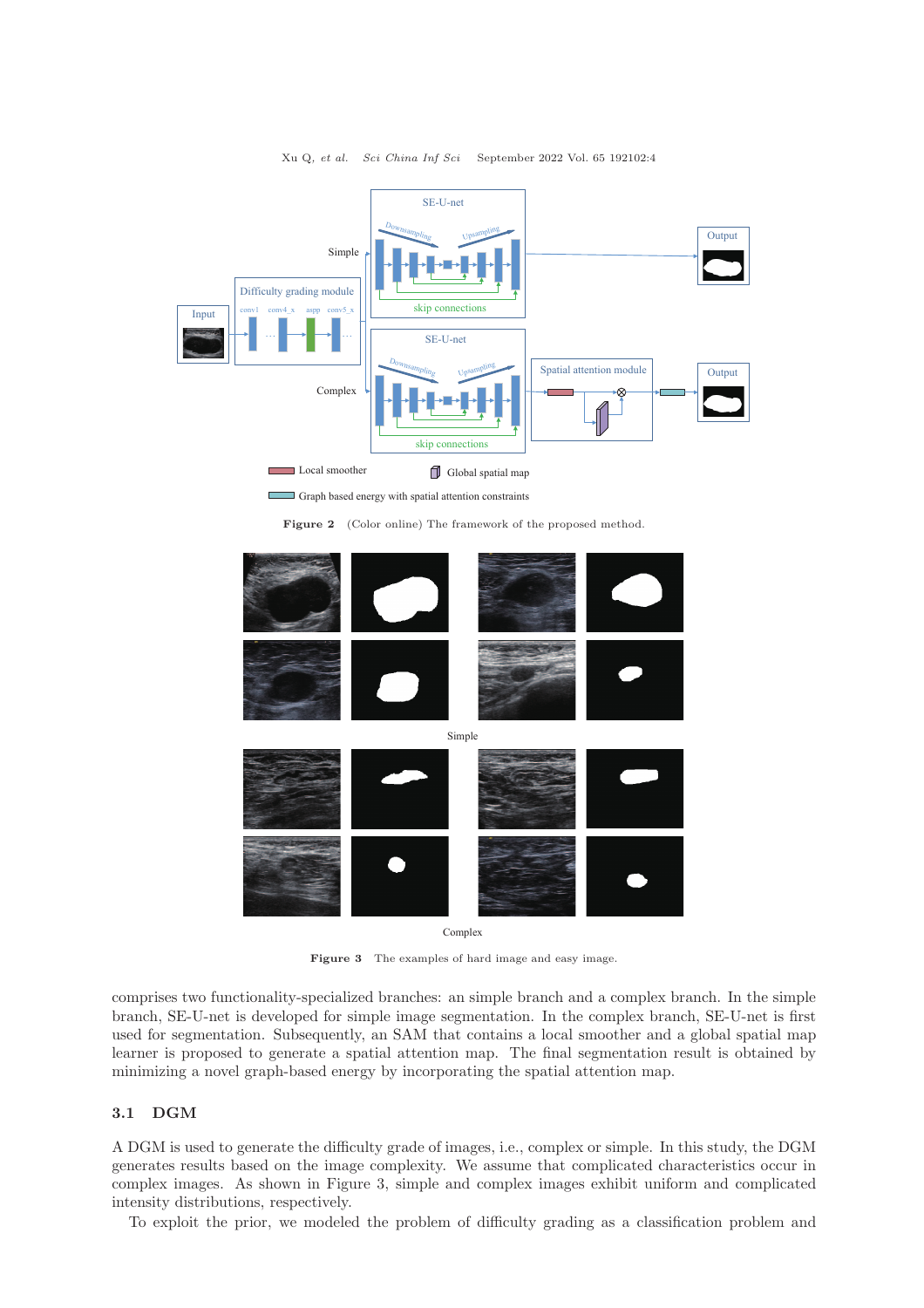

Local smoother **G** Global spatial map E

Graph based energy with spatial attention constraints

Figure 2 (Color online) The framework of the proposed method.



Complex

Figure 3 The examples of hard image and easy image.

comprises two functionality-specialized branches: an simple branch and a complex branch. In the simple branch, SE-U-net is developed for simple image segmentation. In the complex branch, SE-U-net is first used for segmentation. Subsequently, an SAM that contains a local smoother and a global spatial map learner is proposed to generate a spatial attention map. The final segmentation result is obtained by minimizing a novel graph-based energy by incorporating the spatial attention map.

### 3.1 DGM

A DGM is used to generate the difficulty grade of images, i.e., complex or simple. In this study, the DGM generates results based on the image complexity. We assume that complicated characteristics occur in complex images. As shown in Figure 3, simple and complex images exhibit uniform and complicated intensity distributions, respectively.

To exploit the prior, we modeled the problem of difficulty grading as a classification problem and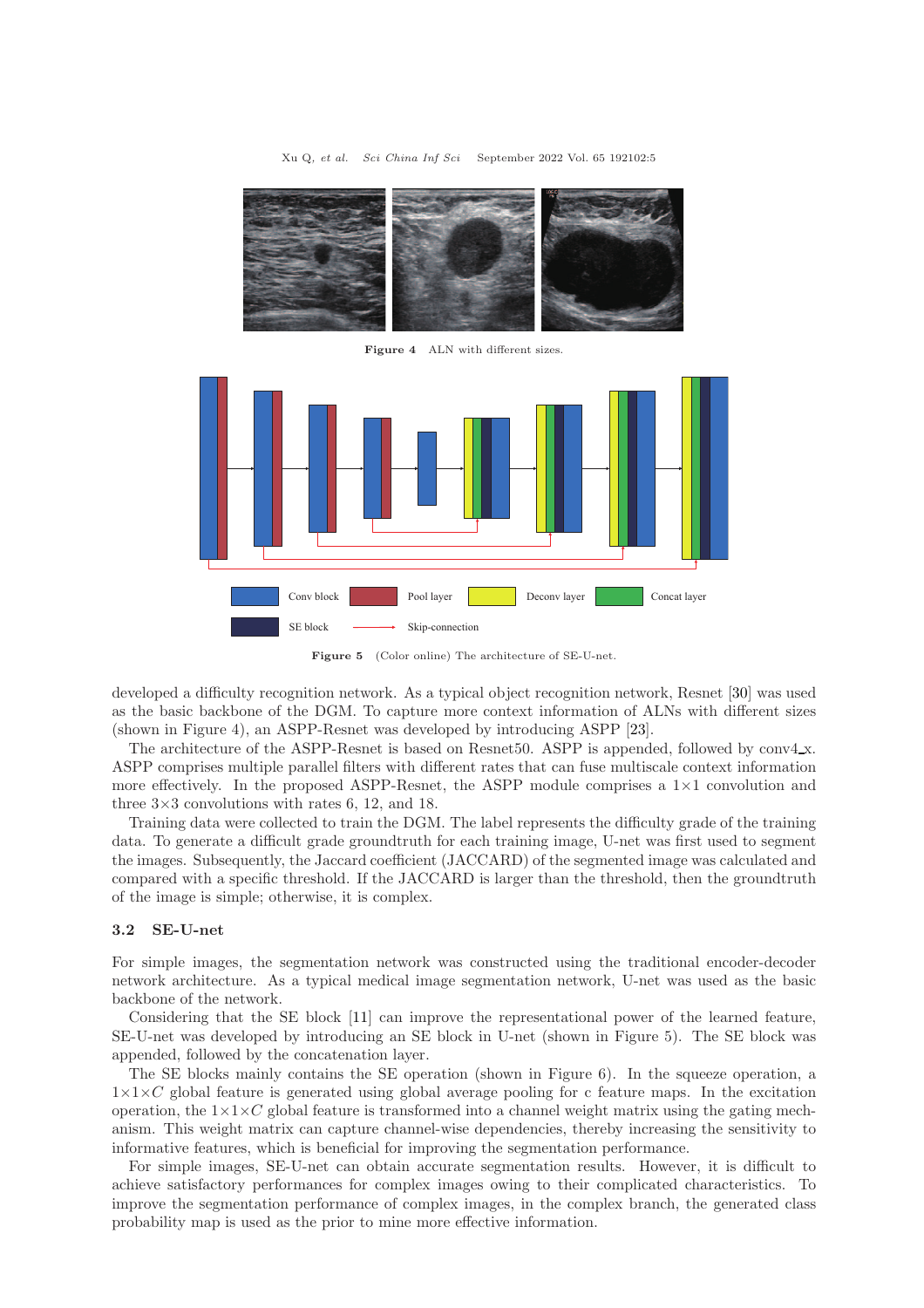

Figure 4 ALN with different sizes.



Figure 5 (Color online) The architecture of SE-U-net.

developed a difficulty recognition network. As a typical object recognition network, Resnet [\[30\]](#page-11-3) was used as the basic backbone of the DGM. To capture more context information of ALNs with different sizes (shown in Figure 4), an ASPP-Resnet was developed by introducing ASPP [\[23\]](#page-10-22).

The architecture of the ASPP-Resnet is based on Resnet 50. ASPP is appended, followed by conv4.x. ASPP comprises multiple parallel filters with different rates that can fuse multiscale context information more effectively. In the proposed ASPP-Resnet, the ASPP module comprises a  $1\times1$  convolution and three  $3\times3$  convolutions with rates 6, 12, and 18.

Training data were collected to train the DGM. The label represents the difficulty grade of the training data. To generate a difficult grade groundtruth for each training image, U-net was first used to segment the images. Subsequently, the Jaccard coefficient (JACCARD) of the segmented image was calculated and compared with a specific threshold. If the JACCARD is larger than the threshold, then the groundtruth of the image is simple; otherwise, it is complex.

#### 3.2 SE-U-net

For simple images, the segmentation network was constructed using the traditional encoder-decoder network architecture. As a typical medical image segmentation network, U-net was used as the basic backbone of the network.

Considering that the SE block [\[11\]](#page-10-10) can improve the representational power of the learned feature, SE-U-net was developed by introducing an SE block in U-net (shown in Figure 5). The SE block was appended, followed by the concatenation layer.

The SE blocks mainly contains the SE operation (shown in Figure 6). In the squeeze operation, a  $1\times1\times C$  global feature is generated using global average pooling for c feature maps. In the excitation operation, the  $1\times1\times C$  global feature is transformed into a channel weight matrix using the gating mechanism. This weight matrix can capture channel-wise dependencies, thereby increasing the sensitivity to informative features, which is beneficial for improving the segmentation performance.

For simple images, SE-U-net can obtain accurate segmentation results. However, it is difficult to achieve satisfactory performances for complex images owing to their complicated characteristics. To improve the segmentation performance of complex images, in the complex branch, the generated class probability map is used as the prior to mine more effective information.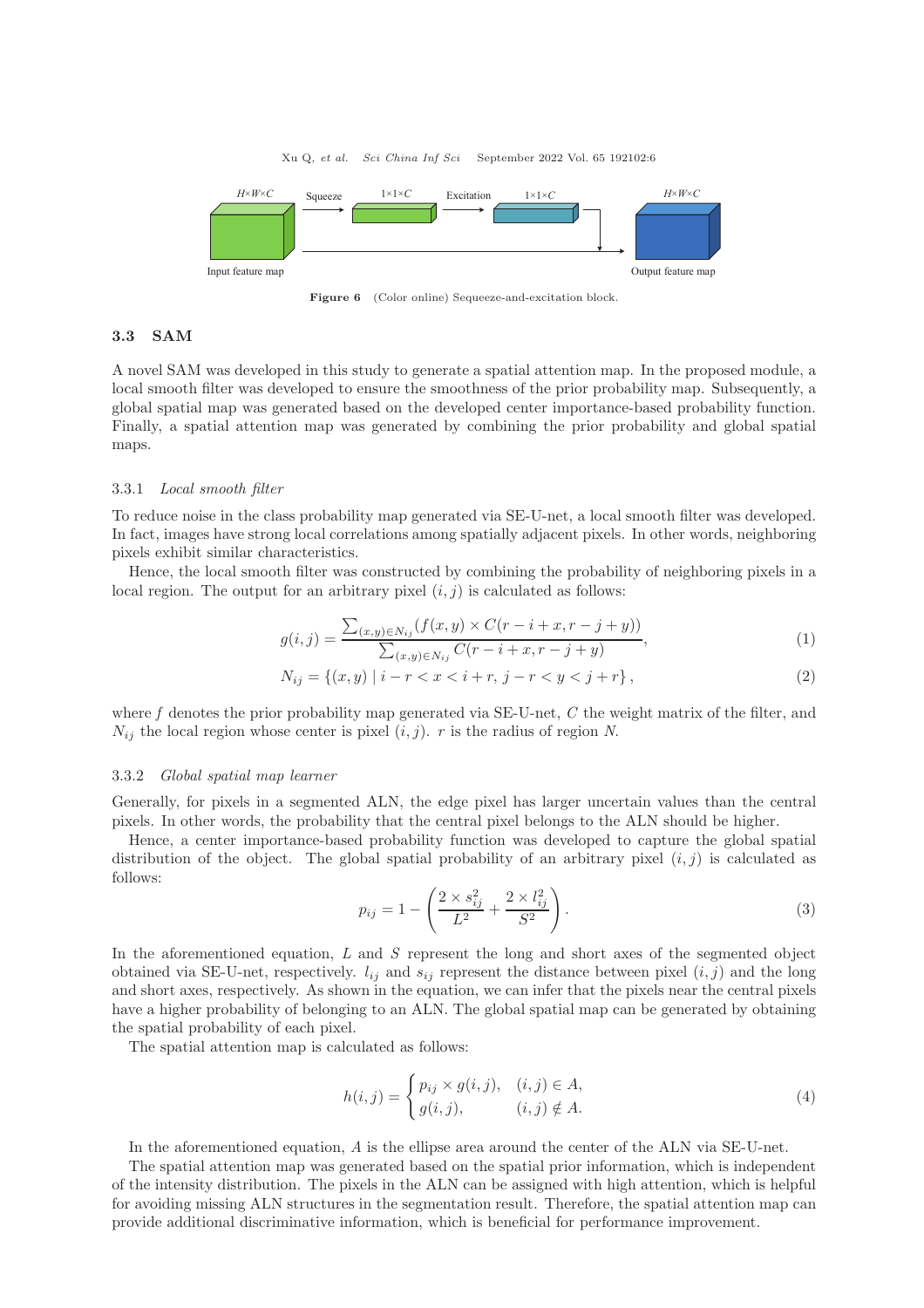

Figure 6 (Color online) Sequeeze-and-excitation block.

### 3.3 SAM

A novel SAM was developed in this study to generate a spatial attention map. In the proposed module, a local smooth filter was developed to ensure the smoothness of the prior probability map. Subsequently, a global spatial map was generated based on the developed center importance-based probability function. Finally, a spatial attention map was generated by combining the prior probability and global spatial maps.

#### 3.3.1 Local smooth filter

To reduce noise in the class probability map generated via SE-U-net, a local smooth filter was developed. In fact, images have strong local correlations among spatially adjacent pixels. In other words, neighboring pixels exhibit similar characteristics.

Hence, the local smooth filter was constructed by combining the probability of neighboring pixels in a local region. The output for an arbitrary pixel  $(i, j)$  is calculated as follows:

$$
g(i,j) = \frac{\sum_{(x,y)\in N_{ij}} (f(x,y) \times C(r-i+x, r-j+y))}{\sum_{(x,y)\in N_{ij}} C(r-i+x, r-j+y)},
$$
\n(1)

$$
N_{ij} = \{(x, y) \mid i - r < x < i + r, \, j - r < y < j + r\},\tag{2}
$$

where f denotes the prior probability map generated via  $SE-U$ -net,  $C$  the weight matrix of the filter, and  $N_{ij}$  the local region whose center is pixel  $(i, j)$ . r is the radius of region N.

#### 3.3.2 Global spatial map learner

Generally, for pixels in a segmented ALN, the edge pixel has larger uncertain values than the central pixels. In other words, the probability that the central pixel belongs to the ALN should be higher.

Hence, a center importance-based probability function was developed to capture the global spatial distribution of the object. The global spatial probability of an arbitrary pixel  $(i, j)$  is calculated as follows:

$$
p_{ij} = 1 - \left(\frac{2 \times s_{ij}^2}{L^2} + \frac{2 \times l_{ij}^2}{S^2}\right).
$$
 (3)

In the aforementioned equation, L and S represent the long and short axes of the segmented object obtained via SE-U-net, respectively.  $l_{ij}$  and  $s_{ij}$  represent the distance between pixel  $(i, j)$  and the long and short axes, respectively. As shown in the equation, we can infer that the pixels near the central pixels have a higher probability of belonging to an ALN. The global spatial map can be generated by obtaining the spatial probability of each pixel.

The spatial attention map is calculated as follows:

$$
h(i,j) = \begin{cases} p_{ij} \times g(i,j), & (i,j) \in A, \\ g(i,j), & (i,j) \notin A. \end{cases}
$$
\n
$$
(4)
$$

In the aforementioned equation, A is the ellipse area around the center of the ALN via SE-U-net.

The spatial attention map was generated based on the spatial prior information, which is independent of the intensity distribution. The pixels in the ALN can be assigned with high attention, which is helpful for avoiding missing ALN structures in the segmentation result. Therefore, the spatial attention map can provide additional discriminative information, which is beneficial for performance improvement.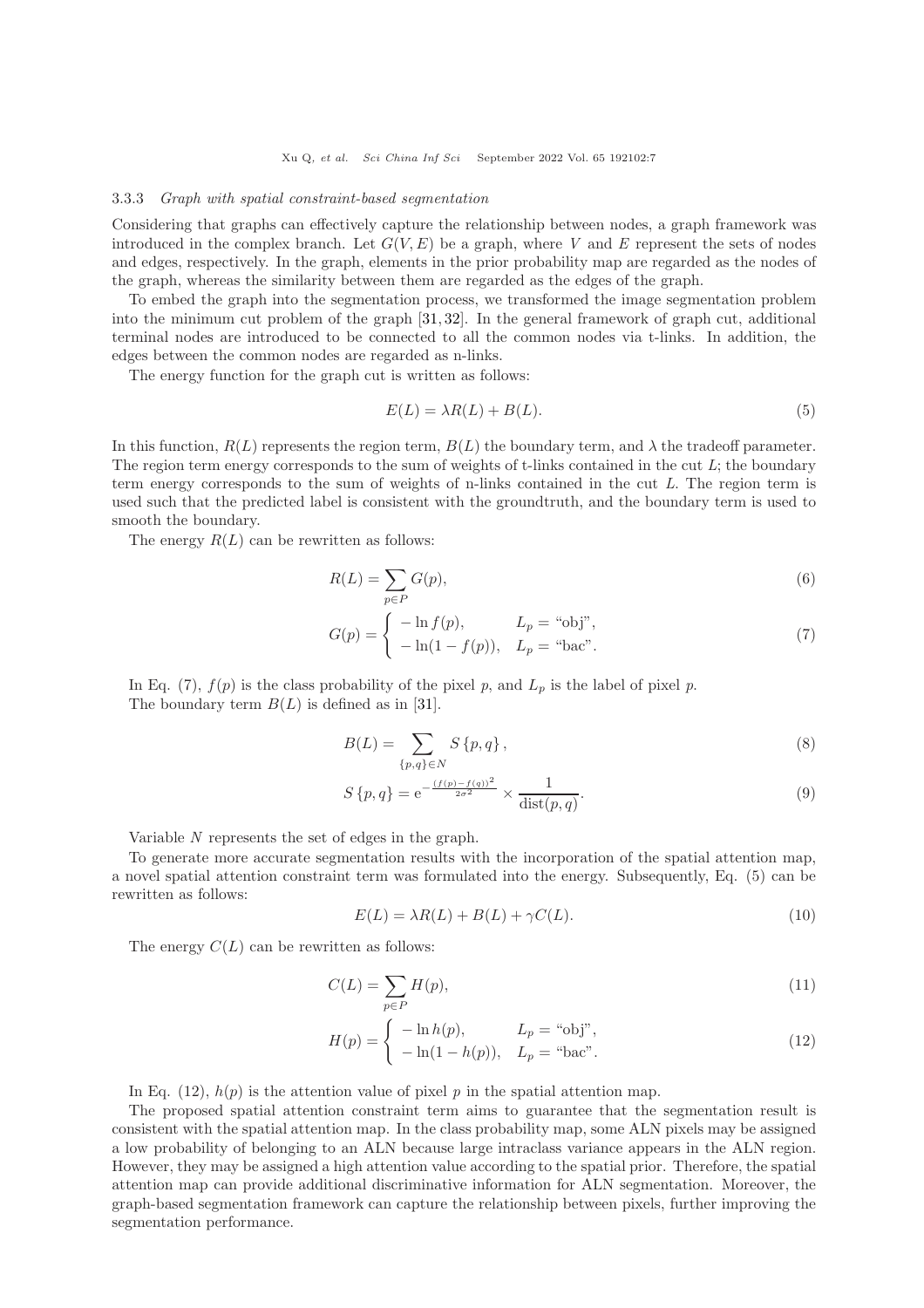#### 3.3.3 Graph with spatial constraint-based segmentation

Considering that graphs can effectively capture the relationship between nodes, a graph framework was introduced in the complex branch. Let  $G(V, E)$  be a graph, where V and E represent the sets of nodes and edges, respectively. In the graph, elements in the prior probability map are regarded as the nodes of the graph, whereas the similarity between them are regarded as the edges of the graph.

To embed the graph into the segmentation process, we transformed the image segmentation problem into the minimum cut problem of the graph [\[31,](#page-11-4) [32\]](#page-11-5). In the general framework of graph cut, additional terminal nodes are introduced to be connected to all the common nodes via t-links. In addition, the edges between the common nodes are regarded as n-links.

The energy function for the graph cut is written as follows:

$$
E(L) = \lambda R(L) + B(L). \tag{5}
$$

In this function,  $R(L)$  represents the region term,  $B(L)$  the boundary term, and  $\lambda$  the tradeoff parameter. The region term energy corresponds to the sum of weights of t-links contained in the cut  $L$ ; the boundary term energy corresponds to the sum of weights of n-links contained in the cut L. The region term is used such that the predicted label is consistent with the groundtruth, and the boundary term is used to smooth the boundary.

The energy  $R(L)$  can be rewritten as follows:

$$
R(L) = \sum_{p \in P} G(p),\tag{6}
$$

$$
G(p) = \begin{cases} -\ln f(p), & L_p = \text{``obj''}, \\ -\ln(1 - f(p)), & L_p = \text{``bac''}. \end{cases}
$$
\n
$$
(7)
$$

In Eq. (7),  $f(p)$  is the class probability of the pixel p, and  $L_p$  is the label of pixel p. The boundary term  $B(L)$  is defined as in [\[31\]](#page-11-4).

$$
B(L) = \sum_{\{p,q\} \in N} S\{p,q\},\tag{8}
$$

$$
S\{p,q\} = e^{-\frac{(f(p) - f(q))^2}{2\sigma^2}} \times \frac{1}{\text{dist}(p,q)}.
$$
\n(9)

Variable N represents the set of edges in the graph.

To generate more accurate segmentation results with the incorporation of the spatial attention map, a novel spatial attention constraint term was formulated into the energy. Subsequently, Eq. (5) can be rewritten as follows:

$$
E(L) = \lambda R(L) + B(L) + \gamma C(L). \tag{10}
$$

The energy  $C(L)$  can be rewritten as follows:

$$
C(L) = \sum_{p \in P} H(p),\tag{11}
$$

$$
H(p) = \begin{cases} -\ln h(p), & L_p = \text{``obj''}, \\ -\ln(1 - h(p)), & L_p = \text{``bac''}. \end{cases}
$$
 (12)

In Eq. (12),  $h(p)$  is the attention value of pixel p in the spatial attention map.

The proposed spatial attention constraint term aims to guarantee that the segmentation result is consistent with the spatial attention map. In the class probability map, some ALN pixels may be assigned a low probability of belonging to an ALN because large intraclass variance appears in the ALN region. However, they may be assigned a high attention value according to the spatial prior. Therefore, the spatial attention map can provide additional discriminative information for ALN segmentation. Moreover, the graph-based segmentation framework can capture the relationship between pixels, further improving the segmentation performance.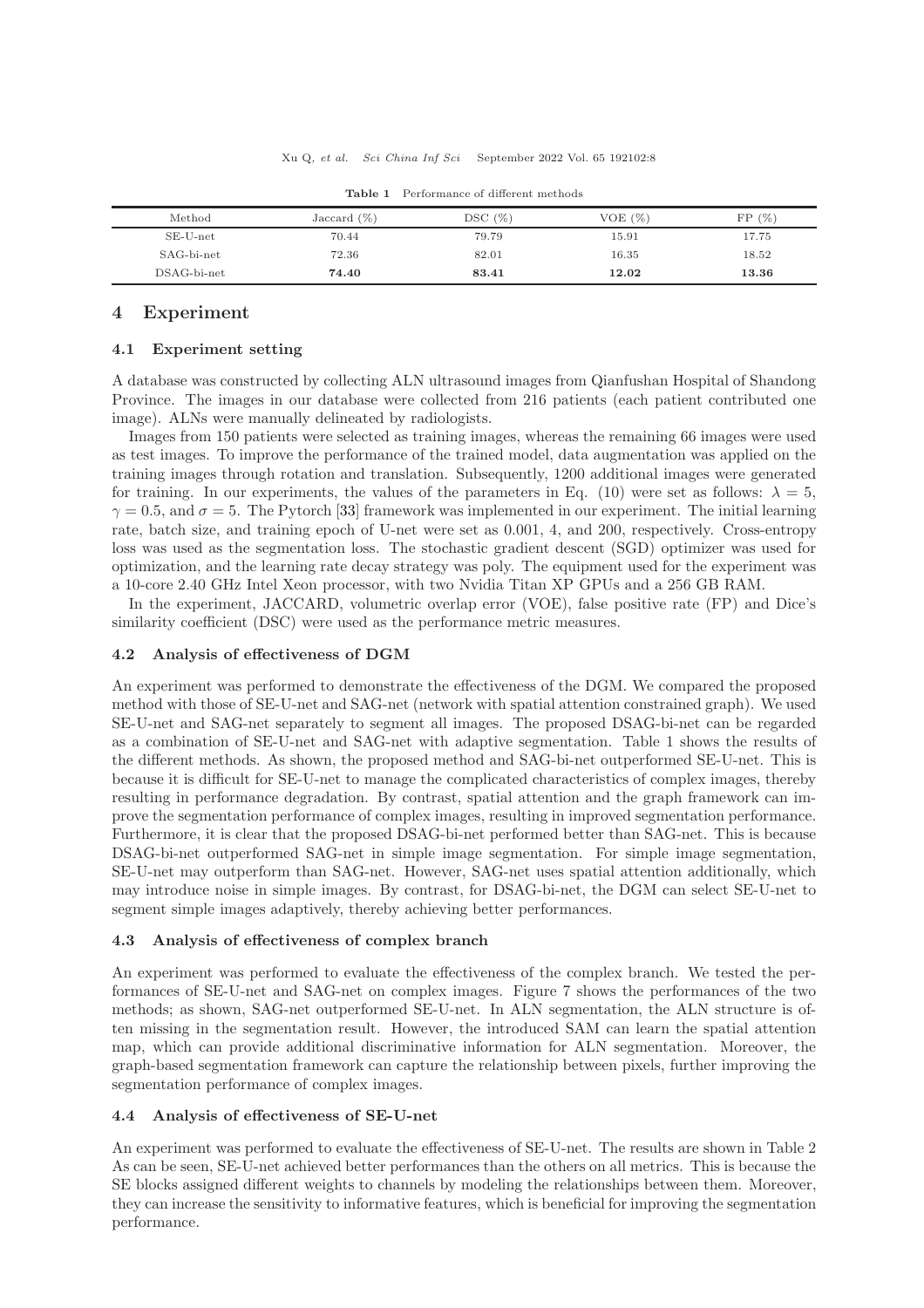| Method        | Jaccard $(\%)$ | DSC(%) | VOE $(\%)$ | $(\% )$<br>FP |
|---------------|----------------|--------|------------|---------------|
| $SE-U-net$    | 70.44          | 79.79  | 15.91      | 17.75         |
| SAG-bi-net    | 72.36          | 82.01  | 16.35      | 18.52         |
| $DSAG-bi-net$ | 74.40          | 83.41  | 12.02      | 13.36         |

Table 1 Performance of different methods

### 4 Experiment

### 4.1 Experiment setting

A database was constructed by collecting ALN ultrasound images from Qianfushan Hospital of Shandong Province. The images in our database were collected from 216 patients (each patient contributed one image). ALNs were manually delineated by radiologists.

Images from 150 patients were selected as training images, whereas the remaining 66 images were used as test images. To improve the performance of the trained model, data augmentation was applied on the training images through rotation and translation. Subsequently, 1200 additional images were generated for training. In our experiments, the values of the parameters in Eq. (10) were set as follows:  $\lambda = 5$ ,  $\gamma = 0.5$ , and  $\sigma = 5$ . The Pytorch [\[33\]](#page-11-6) framework was implemented in our experiment. The initial learning rate, batch size, and training epoch of U-net were set as 0.001, 4, and 200, respectively. Cross-entropy loss was used as the segmentation loss. The stochastic gradient descent (SGD) optimizer was used for optimization, and the learning rate decay strategy was poly. The equipment used for the experiment was a 10-core 2.40 GHz Intel Xeon processor, with two Nvidia Titan XP GPUs and a 256 GB RAM.

In the experiment, JACCARD, volumetric overlap error (VOE), false positive rate (FP) and Dice's similarity coefficient (DSC) were used as the performance metric measures.

### 4.2 Analysis of effectiveness of DGM

An experiment was performed to demonstrate the effectiveness of the DGM. We compared the proposed method with those of SE-U-net and SAG-net (network with spatial attention constrained graph). We used SE-U-net and SAG-net separately to segment all images. The proposed DSAG-bi-net can be regarded as a combination of SE-U-net and SAG-net with adaptive segmentation. Table 1 shows the results of the different methods. As shown, the proposed method and SAG-bi-net outperformed SE-U-net. This is because it is difficult for SE-U-net to manage the complicated characteristics of complex images, thereby resulting in performance degradation. By contrast, spatial attention and the graph framework can improve the segmentation performance of complex images, resulting in improved segmentation performance. Furthermore, it is clear that the proposed DSAG-bi-net performed better than SAG-net. This is because DSAG-bi-net outperformed SAG-net in simple image segmentation. For simple image segmentation, SE-U-net may outperform than SAG-net. However, SAG-net uses spatial attention additionally, which may introduce noise in simple images. By contrast, for DSAG-bi-net, the DGM can select SE-U-net to segment simple images adaptively, thereby achieving better performances.

#### 4.3 Analysis of effectiveness of complex branch

An experiment was performed to evaluate the effectiveness of the complex branch. We tested the performances of SE-U-net and SAG-net on complex images. Figure 7 shows the performances of the two methods; as shown, SAG-net outperformed SE-U-net. In ALN segmentation, the ALN structure is often missing in the segmentation result. However, the introduced SAM can learn the spatial attention map, which can provide additional discriminative information for ALN segmentation. Moreover, the graph-based segmentation framework can capture the relationship between pixels, further improving the segmentation performance of complex images.

### 4.4 Analysis of effectiveness of SE-U-net

An experiment was performed to evaluate the effectiveness of SE-U-net. The results are shown in Table 2 As can be seen, SE-U-net achieved better performances than the others on all metrics. This is because the SE blocks assigned different weights to channels by modeling the relationships between them. Moreover, they can increase the sensitivity to informative features, which is beneficial for improving the segmentation performance.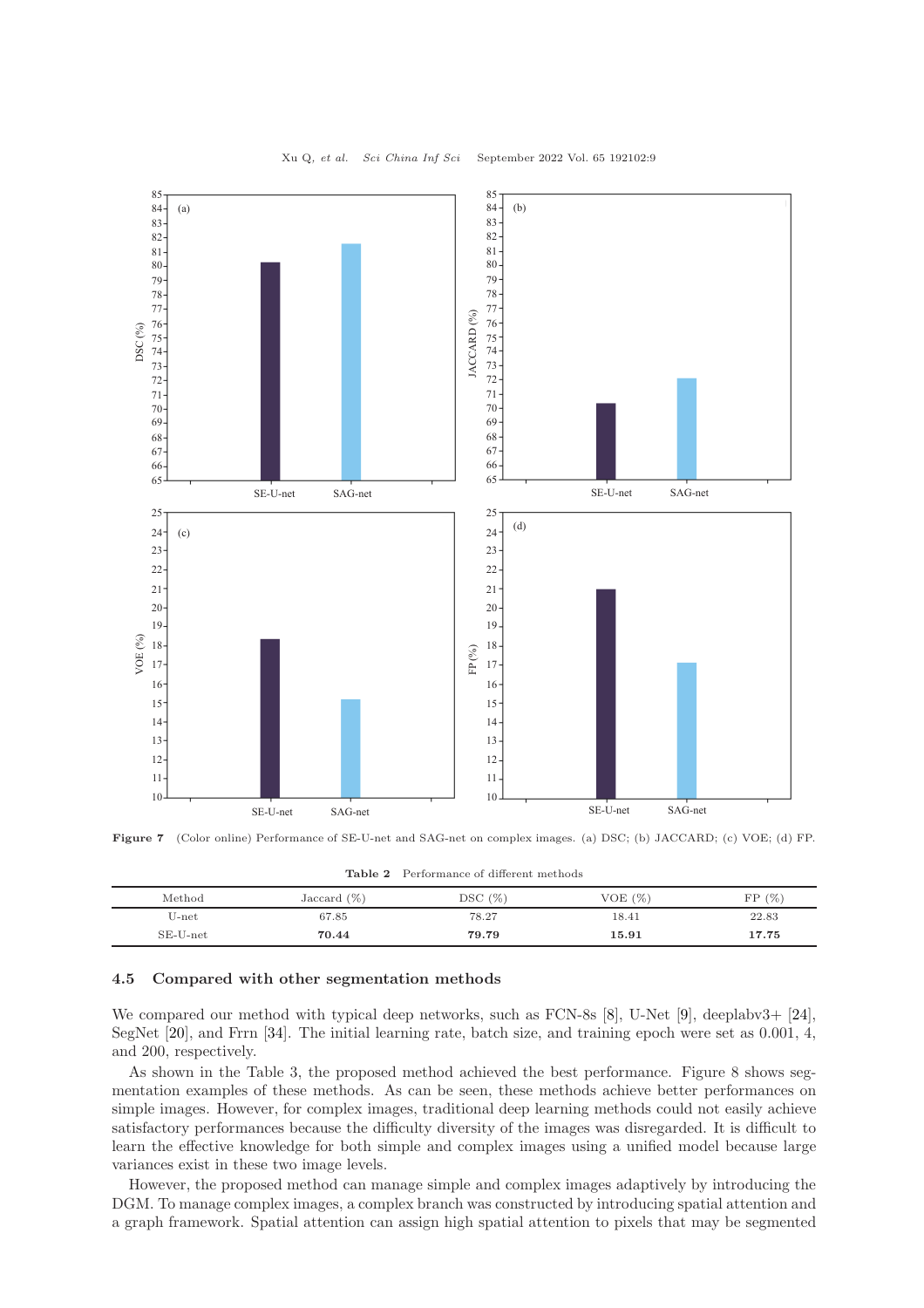

Figure 7 (Color online) Performance of SE-U-net and SAG-net on complex images. (a) DSC; (b) JACCARD; (c) VOE; (d) FP.

| Table 2 Performance of different methods |  |
|------------------------------------------|--|
|------------------------------------------|--|

| Method     | Jaccard $(\%)$ | DSC(%) | VOE $(\%)$ | FP(%) |
|------------|----------------|--------|------------|-------|
| $U$ -net   | 67.85          | 78.27  | 18.41      | 22.83 |
| $SE-U-net$ | 70.44          | 79.79  | 15.91      | 17.75 |

### 4.5 Compared with other segmentation methods

We compared our method with typical deep networks, such as FCN-8s [\[8\]](#page-10-7), U-Net [\[9\]](#page-10-8), deeplabv3+ [\[24\]](#page-10-23), SegNet [\[20\]](#page-10-19), and Frrn [\[34\]](#page-11-7). The initial learning rate, batch size, and training epoch were set as 0.001, 4, and 200, respectively.

As shown in the Table 3, the proposed method achieved the best performance. Figure 8 shows segmentation examples of these methods. As can be seen, these methods achieve better performances on simple images. However, for complex images, traditional deep learning methods could not easily achieve satisfactory performances because the difficulty diversity of the images was disregarded. It is difficult to learn the effective knowledge for both simple and complex images using a unified model because large variances exist in these two image levels.

However, the proposed method can manage simple and complex images adaptively by introducing the DGM. To manage complex images, a complex branch was constructed by introducing spatial attention and a graph framework. Spatial attention can assign high spatial attention to pixels that may be segmented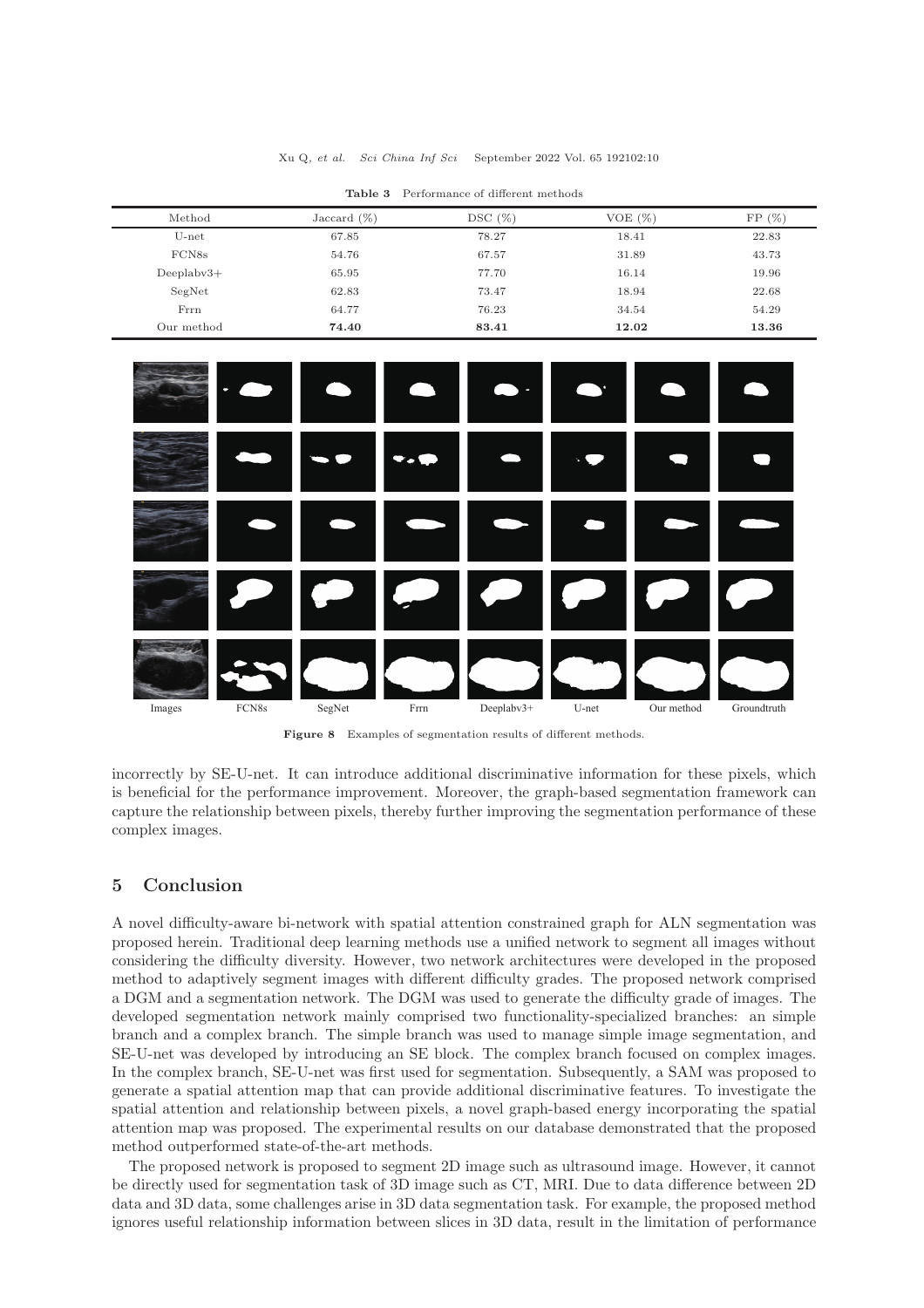| DSC(%)<br>VOE(%)<br>FP(%)<br>Method<br>Jaccard $(\%)$<br>$U$ -net<br>78.27<br>22.83<br>67.85<br>18.41<br>FCN <sub>8s</sub><br>43.73<br>54.76<br>67.57<br>31.89<br>19.96<br>$Deeplabv3+$<br>65.95<br>77.70<br>16.14<br>SegNet<br>62.83<br>22.68<br>73.47<br>18.94<br>Frrn<br>76.23<br>64.77<br>54.29<br>34.54<br>Our method<br>74.40<br>12.02<br>83.41<br>13.36 |  |  |  |
|----------------------------------------------------------------------------------------------------------------------------------------------------------------------------------------------------------------------------------------------------------------------------------------------------------------------------------------------------------------|--|--|--|
|                                                                                                                                                                                                                                                                                                                                                                |  |  |  |
|                                                                                                                                                                                                                                                                                                                                                                |  |  |  |
|                                                                                                                                                                                                                                                                                                                                                                |  |  |  |
|                                                                                                                                                                                                                                                                                                                                                                |  |  |  |
|                                                                                                                                                                                                                                                                                                                                                                |  |  |  |
|                                                                                                                                                                                                                                                                                                                                                                |  |  |  |
|                                                                                                                                                                                                                                                                                                                                                                |  |  |  |

Table 3 Performance of different methods



Figure 8 Examples of segmentation results of different methods.

incorrectly by SE-U-net. It can introduce additional discriminative information for these pixels, which is beneficial for the performance improvement. Moreover, the graph-based segmentation framework can capture the relationship between pixels, thereby further improving the segmentation performance of these complex images.

### 5 Conclusion

A novel difficulty-aware bi-network with spatial attention constrained graph for ALN segmentation was proposed herein. Traditional deep learning methods use a unified network to segment all images without considering the difficulty diversity. However, two network architectures were developed in the proposed method to adaptively segment images with different difficulty grades. The proposed network comprised a DGM and a segmentation network. The DGM was used to generate the difficulty grade of images. The developed segmentation network mainly comprised two functionality-specialized branches: an simple branch and a complex branch. The simple branch was used to manage simple image segmentation, and SE-U-net was developed by introducing an SE block. The complex branch focused on complex images. In the complex branch, SE-U-net was first used for segmentation. Subsequently, a SAM was proposed to generate a spatial attention map that can provide additional discriminative features. To investigate the spatial attention and relationship between pixels, a novel graph-based energy incorporating the spatial attention map was proposed. The experimental results on our database demonstrated that the proposed method outperformed state-of-the-art methods.

The proposed network is proposed to segment 2D image such as ultrasound image. However, it cannot be directly used for segmentation task of 3D image such as CT, MRI. Due to data difference between 2D data and 3D data, some challenges arise in 3D data segmentation task. For example, the proposed method ignores useful relationship information between slices in 3D data, result in the limitation of performance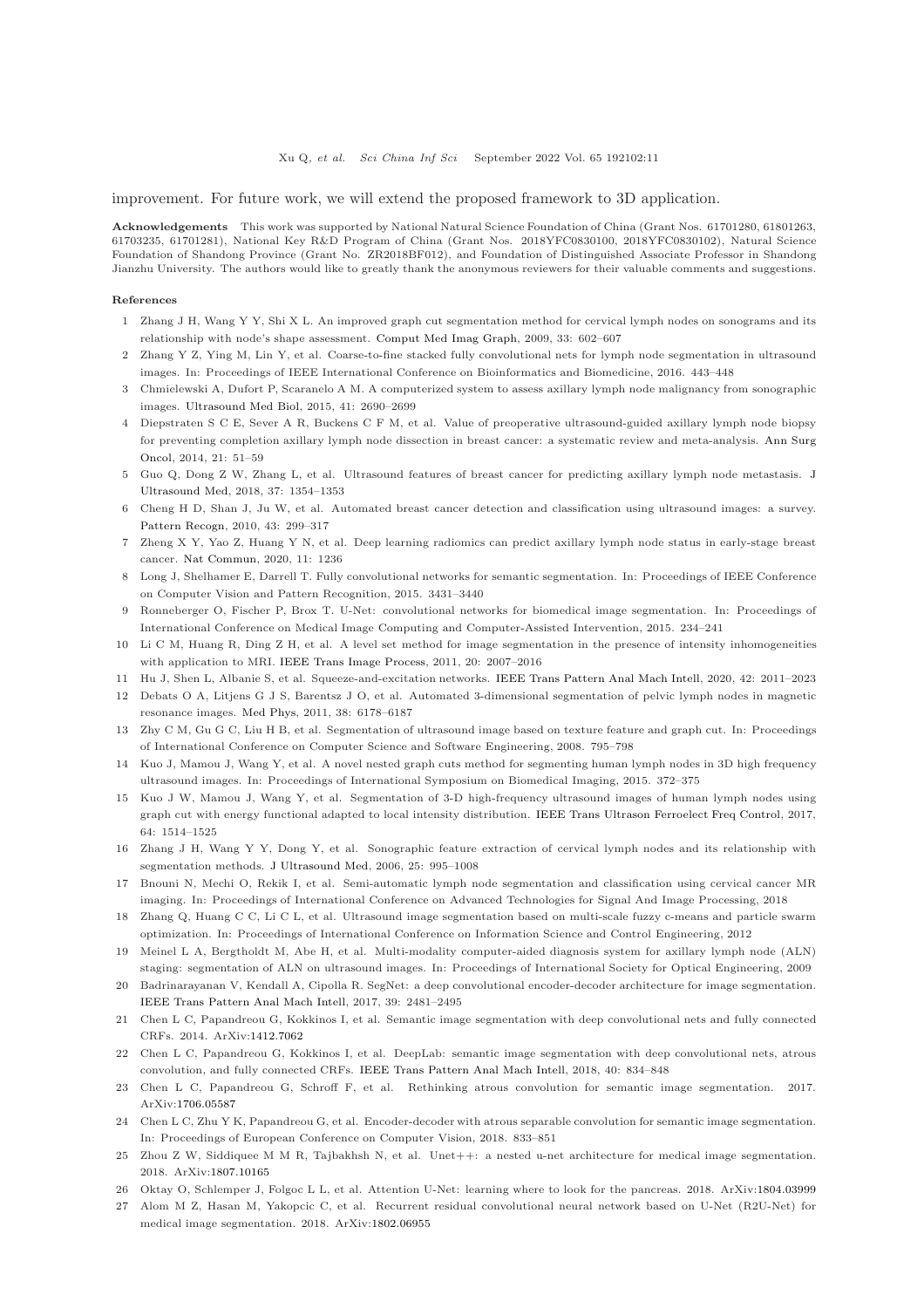improvement. For future work, we will extend the proposed framework to 3D application.

Acknowledgements This work was supported by National Natural Science Foundation of China (Grant Nos. 61701280, 61801263, 61703235, 61701281), National Key R&D Program of China (Grant Nos. 2018YFC0830100, 2018YFC0830102), Natural Science Foundation of Shandong Province (Grant No. ZR2018BF012), and Foundation of Distinguished Associate Professor in Shandong Jianzhu University. The authors would like to greatly thank the anonymous reviewers for their valuable comments and suggestions.

#### <span id="page-10-0"></span>References

- <span id="page-10-1"></span>1 Zhang J H, Wang Y Y, Shi X L. An improved graph cut segmentation method for cervical lymph nodes on sonograms and its relationship with node's shape assessment. [Comput Med Imag Graph,](https://doi.org/10.1016/j.compmedimag.2009.06.002) 2009, 33: 602–607
- <span id="page-10-2"></span>2 Zhang Y Z, Ying M, Lin Y, et al. Coarse-to-fine stacked fully convolutional nets for lymph node segmentation in ultrasound images. In: Proceedings of IEEE International Conference on Bioinformatics and Biomedicine, 2016. 443–448
- <span id="page-10-3"></span>3 Chmielewski A, Dufort P, Scaranelo A M. A computerized system to assess axillary lymph node malignancy from sonographic images. [Ultrasound Med Biol,](https://doi.org/10.1016/j.ultrasmedbio.2015.05.022) 2015, 41: 2690–2699
- 4 Diepstraten S C E, Sever A R, Buckens C F M, et al. Value of preoperative ultrasound-guided axillary lymph node biopsy for preventing completion axillary lymph node dissection in breast cancer: a systematic review and meta-analysis. Ann Surg Oncol, 2014, 21: 51–59
- <span id="page-10-5"></span><span id="page-10-4"></span>5 Guo Q, Dong Z W, Zhang L, et al. Ultrasound features of breast [cancer for predicting axillary lymph node metastasis.](https://doi.org/10.1002/jum.14469) J Ultrasound Med, 2018, 37: 1354–1353
- <span id="page-10-6"></span>6 Cheng H D, Shan J, Ju W, et al. Automated breast cancer detection and classification using ultrasound images: a survey. [Pattern Recogn,](https://doi.org/10.1016/j.patcog.2009.05.012) 2010, 43: 299–317
- <span id="page-10-7"></span>7 Zheng X Y, Yao Z, Huang Y N, et al. Deep learning radiomics can predict axillary lymph node status in early-stage breast cancer. [Nat Commun,](https://doi.org/10.1038/s41467-020-15027-z) 2020, 11: 1236
- <span id="page-10-8"></span>8 Long J, Shelhamer E, Darrell T. Fully convolutional networks for semantic segmentation. In: Proceedings of IEEE Conference on Computer Vision and Pattern Recognition, 2015. 3431–3440
- <span id="page-10-9"></span>9 Ronneberger O, Fischer P, Brox T. U-Net: convolutional networks for biomedical image segmentation. In: Proceedings of International Conference on Medical Image Computing and Computer-Assisted Intervention, 2015. 234–241
- <span id="page-10-10"></span>10 Li C M, Huang R, Ding Z H, et al. A level set method for image segmentation in the presence of intensity inhomogeneities with application to MRI. [IEEE Trans Image Process,](https://doi.org/10.1109/TIP.2011.2146190) 2011, 20: 2007–2016
- <span id="page-10-11"></span>11 Hu J, Shen L, Albanie S, et al. Squeeze-and-excitation networks. [IEEE Trans Pattern Anal Mach Intell,](https://doi.org/10.1109/TPAMI.2019.2913372) 2020, 42: 2011–2023
- <span id="page-10-12"></span>12 Debats O A, Litjens G J S, Barentsz J O, et al. Automated 3-dimensional segmentation of pelvic lymph nodes in magnetic resonance images. [Med Phys,](https://doi.org/10.1118/1.3654162) 2011, 38: 6178–6187
- <span id="page-10-13"></span>13 Zhy C M, Gu G C, Liu H B, et al. Segmentation of ultrasound image based on texture feature and graph cut. In: Proceedings of International Conference on Computer Science and Software Engineering, 2008. 795–798
- <span id="page-10-14"></span>14 Kuo J, Mamou J, Wang Y, et al. A novel nested graph cuts method for segmenting human lymph nodes in 3D high frequency ultrasound images. In: Proceedings of International Symposium on Biomedical Imaging, 2015. 372–375
- 15 Kuo J W, Mamou J, Wang Y, et al. Segmentation of 3-D high-frequency ultrasound images of human lymph nodes using graph cut with energy functional adapted to local intensity distribution. [IEEE Trans Ultrason Ferroelect Freq Control,](https://doi.org/10.1109/TUFFC.2017.2737948) 2017, 64: 1514–1525
- <span id="page-10-16"></span><span id="page-10-15"></span>16 Zhang J H, Wang Y Y, Dong Y, et al. Sonographic feature extraction of cervical lymph nodes and its relationship with segmentation methods. [J Ultrasound Med,](https://doi.org/10.7863/jum.2006.25.8.995) 2006, 25: 995–1008
- <span id="page-10-17"></span>17 Bnouni N, Mechi O, Rekik I, et al. Semi-automatic lymph node segmentation and classification using cervical cancer MR imaging. In: Proceedings of International Conference on Advanced Technologies for Signal And Image Processing, 2018
- <span id="page-10-18"></span>18 Zhang Q, Huang C C, Li C L, et al. Ultrasound image segmentation based on multi-scale fuzzy c-means and particle swarm optimization. In: Proceedings of International Conference on Information Science and Control Engineering, 2012
- <span id="page-10-19"></span>19 Meinel L A, Bergtholdt M, Abe H, et al. Multi-modality computer-aided diagnosis system for axillary lymph node (ALN) staging: segmentation of ALN on ultrasound images. In: Proceedings of International Society for Optical Engineering, 2009
- 20 Badrinarayanan V, Kendall A, Cipolla R. SegNet: a deep convolutional encoder-decoder architecture for image segmentation. [IEEE Trans Pattern Anal Mach Intell,](https://doi.org/10.1109/TPAMI.2016.2644615) 2017, 39: 2481–2495
- <span id="page-10-21"></span><span id="page-10-20"></span>21 Chen L C, Papandreou G, Kokkinos I, et al. Semantic image segmentation with deep convolutional nets and fully connected CRFs. 2014. ArXiv[:1412.7062](https://arxiv.org/abs/1412.7062)
- 22 Chen L C, Papandreou G, Kokkinos I, et al. DeepLab: semantic image segmentation with deep convolutional nets, atrous convolution, and fully connected CRFs. [IEEE Trans Pattern Anal Mach Intell,](https://doi.org/10.1109/TPAMI.2017.2699184) 2018, 40: 834–848
- <span id="page-10-22"></span>23 Chen L C, Papandreou G, Schroff F, et al. Rethinking atrous convolution for semantic image segmentation. 2017. ArXiv[:1706.05587](https://arxiv.org/abs/1706.05587)
- <span id="page-10-23"></span>24 Chen L C, Zhu Y K, Papandreou G, et al. Encoder-decoder with atrous separable convolution for semantic image segmentation. In: Proceedings of European Conference on Computer Vision, 2018. 833–851
- <span id="page-10-24"></span>25 Zhou Z W, Siddiquee M M R, Tajbakhsh N, et al. Unet++: a nested u-net architecture for medical image segmentation. 2018. ArXiv[:1807.10165](https://arxiv.org/abs/1807.10165)
- 26 Oktay O, Schlemper J, Folgoc L L, et al. Attention U-Net: learning where to look for the pancreas. 2018. ArXiv[:1804.03999](https://arxiv.org/abs/1804.03999)
- 27 Alom M Z, Hasan M, Yakopcic C, et al. Recurrent residual convolutional neural network based on U-Net (R2U-Net) for medical image segmentation. 2018. ArXiv[:1802.06955](https://arxiv.org/abs/1802.06955)